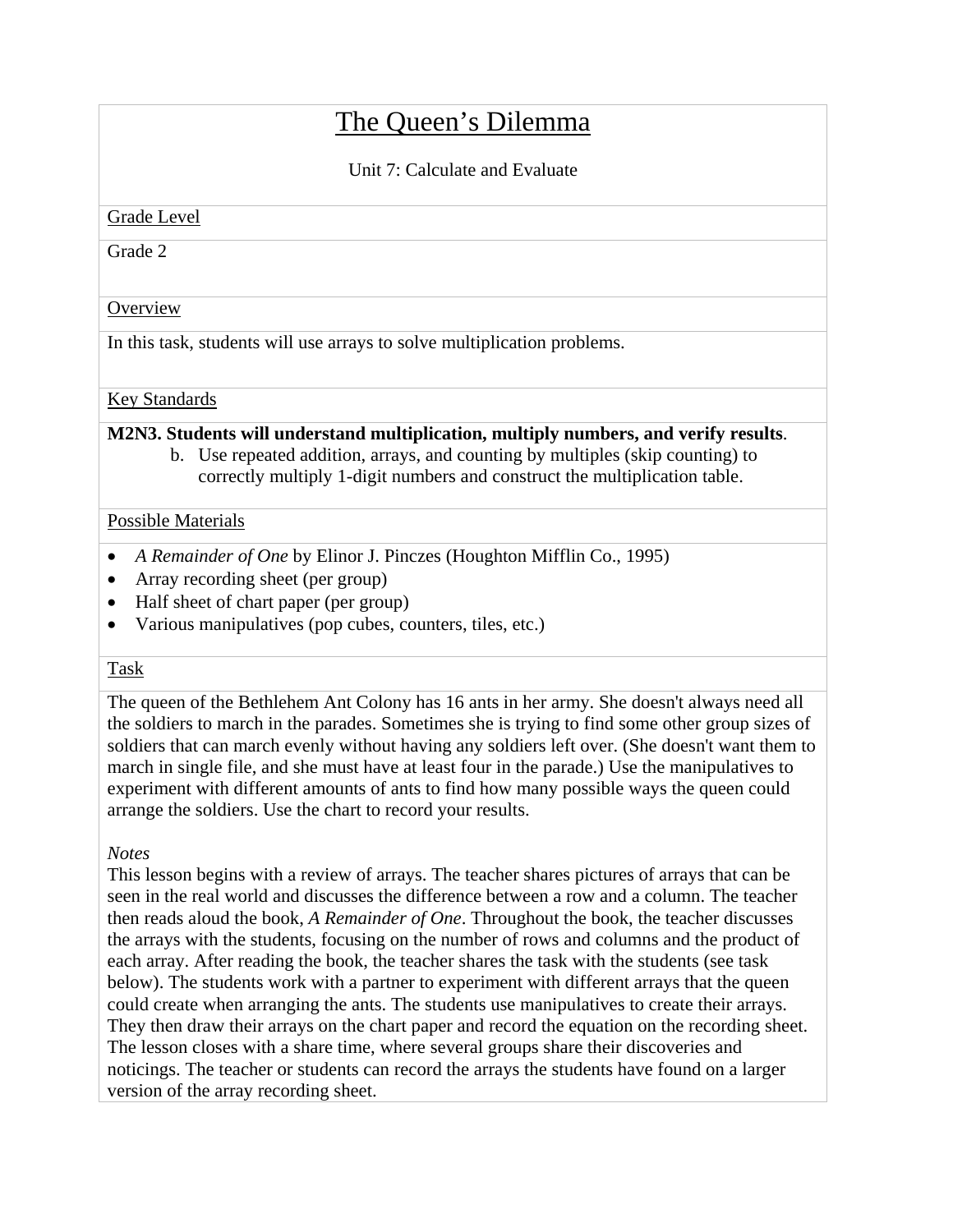# The Queen's Dilemma

Unit 7: Calculate and Evaluate

Grade Level

Grade 2

# **Overview**

In this task, students will use arrays to solve multiplication problems.

## Key Standards

### **M2N3. Students will understand multiplication, multiply numbers, and verify results**.

b. Use repeated addition, arrays, and counting by multiples (skip counting) to correctly multiply 1-digit numbers and construct the multiplication table.

## Possible Materials

- *A Remainder of One* by Elinor J. Pinczes (Houghton Mifflin Co., 1995)
- Array recording sheet (per group)
- Half sheet of chart paper (per group)
- Various manipulatives (pop cubes, counters, tiles, etc.)

# Task

The queen of the Bethlehem Ant Colony has 16 ants in her army. She doesn't always need all the soldiers to march in the parades. Sometimes she is trying to find some other group sizes of soldiers that can march evenly without having any soldiers left over. (She doesn't want them to march in single file, and she must have at least four in the parade.) Use the manipulatives to experiment with different amounts of ants to find how many possible ways the queen could arrange the soldiers. Use the chart to record your results.

# *Notes*

This lesson begins with a review of arrays. The teacher shares pictures of arrays that can be seen in the real world and discusses the difference between a row and a column. The teacher then reads aloud the book, *A Remainder of One*. Throughout the book, the teacher discusses the arrays with the students, focusing on the number of rows and columns and the product of each array. After reading the book, the teacher shares the task with the students (see task below). The students work with a partner to experiment with different arrays that the queen could create when arranging the ants. The students use manipulatives to create their arrays. They then draw their arrays on the chart paper and record the equation on the recording sheet. The lesson closes with a share time, where several groups share their discoveries and noticings. The teacher or students can record the arrays the students have found on a larger version of the array recording sheet.